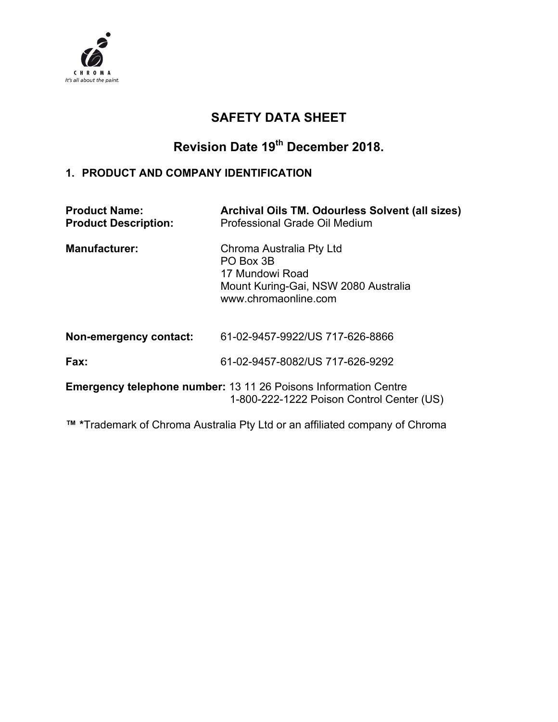

# **SAFETY DATA SHEET**

# **Revision Date 19th December 2018.**

#### **1. PRODUCT AND COMPANY IDENTIFICATION**

| <b>Product Name:</b><br><b>Product Description:</b> | Archival Oils TM. Odourless Solvent (all sizes)<br>Professional Grade Oil Medium                                         |
|-----------------------------------------------------|--------------------------------------------------------------------------------------------------------------------------|
| <b>Manufacturer:</b>                                | Chroma Australia Pty Ltd<br>PO Box 3B<br>17 Mundowi Road<br>Mount Kuring-Gai, NSW 2080 Australia<br>www.chromaonline.com |
| Non-emergency contact:                              | 61-02-9457-9922/US 717-626-8866                                                                                          |
| Fax:                                                | 61-02-9457-8082/US 717-626-9292                                                                                          |
|                                                     | <b>Emergency telephone number: 13 11 26 Poisons Information Centre</b><br>1-800-222-1222 Poison Control Center (US)      |

**™ \***Trademark of Chroma Australia Pty Ltd or an affiliated company of Chroma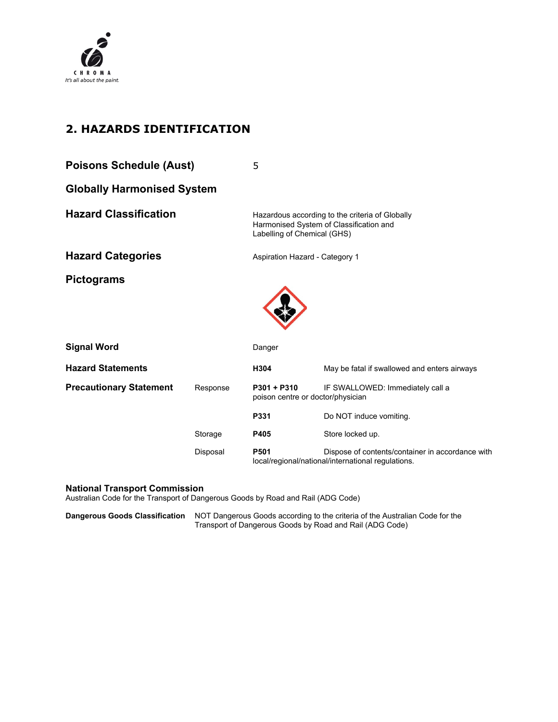

# **2. HAZARDS IDENTIFICATION**

| <b>Poisons Schedule (Aust)</b>    |          | 5                                                  |                                                                                                        |
|-----------------------------------|----------|----------------------------------------------------|--------------------------------------------------------------------------------------------------------|
| <b>Globally Harmonised System</b> |          |                                                    |                                                                                                        |
| <b>Hazard Classification</b>      |          | Labelling of Chemical (GHS)                        | Hazardous according to the criteria of Globally<br>Harmonised System of Classification and             |
| <b>Hazard Categories</b>          |          | Aspiration Hazard - Category 1                     |                                                                                                        |
| <b>Pictograms</b>                 |          |                                                    |                                                                                                        |
| <b>Signal Word</b>                |          | Danger                                             |                                                                                                        |
| <b>Hazard Statements</b>          |          | H304                                               | May be fatal if swallowed and enters airways                                                           |
| <b>Precautionary Statement</b>    | Response | $P301 + P310$<br>poison centre or doctor/physician | IF SWALLOWED: Immediately call a                                                                       |
|                                   |          | P331                                               | Do NOT induce vomiting.                                                                                |
|                                   | Storage  | P405                                               | Store locked up.                                                                                       |
|                                   | Disposal | P501                                               | Dispose of contents/container in accordance with<br>local/regional/national/international regulations. |

#### **National Transport Commission**

Australian Code for the Transport of Dangerous Goods by Road and Rail (ADG Code)

**Dangerous Goods Classification** NOT Dangerous Goods according to the criteria of the Australian Code for the Transport of Dangerous Goods by Road and Rail (ADG Code)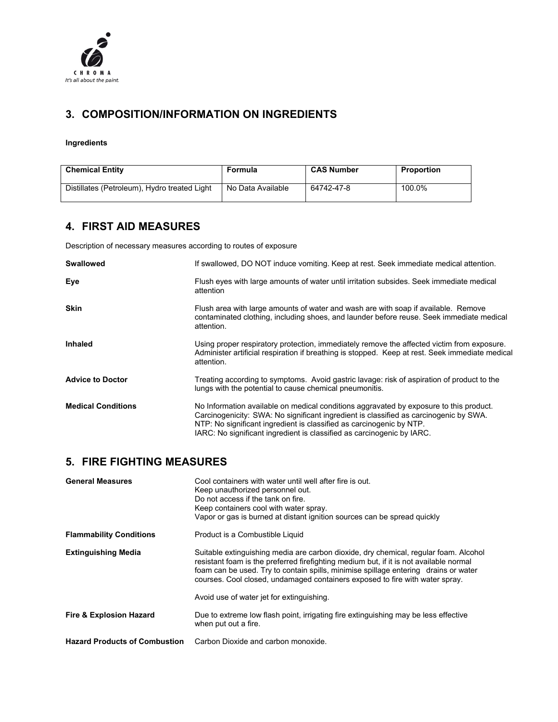

#### **3. COMPOSITION/INFORMATION ON INGREDIENTS**

**Ingredients** 

| <b>Chemical Entity</b>                       | Formula           | <b>CAS Number</b> | Proportion |
|----------------------------------------------|-------------------|-------------------|------------|
| Distillates (Petroleum), Hydro treated Light | No Data Available | 64742-47-8        | 100.0%     |

#### **4. FIRST AID MEASURES**

Description of necessary measures according to routes of exposure

| Swallowed                 | If swallowed, DO NOT induce vomiting. Keep at rest. Seek immediate medical attention.                                                                                                                                                                                                                                             |
|---------------------------|-----------------------------------------------------------------------------------------------------------------------------------------------------------------------------------------------------------------------------------------------------------------------------------------------------------------------------------|
| Eye                       | Flush eyes with large amounts of water until irritation subsides. Seek immediate medical<br>attention                                                                                                                                                                                                                             |
| <b>Skin</b>               | Flush area with large amounts of water and wash are with soap if available. Remove<br>contaminated clothing, including shoes, and launder before reuse. Seek immediate medical<br>attention.                                                                                                                                      |
| <b>Inhaled</b>            | Using proper respiratory protection, immediately remove the affected victim from exposure.<br>Administer artificial respiration if breathing is stopped. Keep at rest. Seek immediate medical<br>attention.                                                                                                                       |
| <b>Advice to Doctor</b>   | Treating according to symptoms. Avoid gastric lavage: risk of aspiration of product to the<br>lungs with the potential to cause chemical pneumonitis.                                                                                                                                                                             |
| <b>Medical Conditions</b> | No Information available on medical conditions aggravated by exposure to this product.<br>Carcinogenicity: SWA: No significant ingredient is classified as carcinogenic by SWA.<br>NTP: No significant ingredient is classified as carcinogenic by NTP.<br>IARC: No significant ingredient is classified as carcinogenic by IARC. |

#### **5. FIRE FIGHTING MEASURES**

| <b>General Measures</b>              | Cool containers with water until well after fire is out.<br>Keep unauthorized personnel out.<br>Do not access if the tank on fire.<br>Keep containers cool with water spray.<br>Vapor or gas is burned at distant ignition sources can be spread quickly                                                                                              |
|--------------------------------------|-------------------------------------------------------------------------------------------------------------------------------------------------------------------------------------------------------------------------------------------------------------------------------------------------------------------------------------------------------|
| <b>Flammability Conditions</b>       | Product is a Combustible Liquid                                                                                                                                                                                                                                                                                                                       |
| <b>Extinguishing Media</b>           | Suitable extinguishing media are carbon dioxide, dry chemical, regular foam. Alcohol<br>resistant foam is the preferred firefighting medium but, if it is not available normal<br>foam can be used. Try to contain spills, minimise spillage entering drains or water<br>courses. Cool closed, undamaged containers exposed to fire with water spray. |
|                                      | Avoid use of water jet for extinguishing.                                                                                                                                                                                                                                                                                                             |
| <b>Fire &amp; Explosion Hazard</b>   | Due to extreme low flash point, irrigating fire extinguishing may be less effective<br>when put out a fire.                                                                                                                                                                                                                                           |
| <b>Hazard Products of Combustion</b> | Carbon Dioxide and carbon monoxide.                                                                                                                                                                                                                                                                                                                   |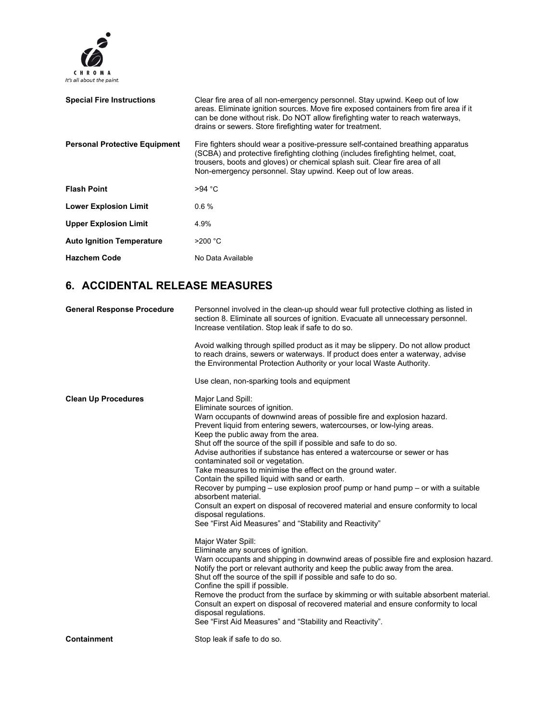

| <b>Special Fire Instructions</b>     | Clear fire area of all non-emergency personnel. Stay upwind. Keep out of low<br>areas. Eliminate ignition sources. Move fire exposed containers from fire area if it<br>can be done without risk. Do NOT allow firefighting water to reach waterways.<br>drains or sewers. Store firefighting water for treatment.  |
|--------------------------------------|---------------------------------------------------------------------------------------------------------------------------------------------------------------------------------------------------------------------------------------------------------------------------------------------------------------------|
| <b>Personal Protective Equipment</b> | Fire fighters should wear a positive-pressure self-contained breathing apparatus<br>(SCBA) and protective firefighting clothing (includes firefighting helmet, coat,<br>trousers, boots and gloves) or chemical splash suit. Clear fire area of all<br>Non-emergency personnel. Stay upwind. Keep out of low areas. |
| <b>Flash Point</b>                   | >94 °C                                                                                                                                                                                                                                                                                                              |
| <b>Lower Explosion Limit</b>         | 0.6%                                                                                                                                                                                                                                                                                                                |
| <b>Upper Explosion Limit</b>         | 4.9%                                                                                                                                                                                                                                                                                                                |
| <b>Auto Ignition Temperature</b>     | $>200$ °C                                                                                                                                                                                                                                                                                                           |
| <b>Hazchem Code</b>                  | No Data Available                                                                                                                                                                                                                                                                                                   |

#### **6. ACCIDENTAL RELEASE MEASURES**

| <b>General Response Procedure</b> | Personnel involved in the clean-up should wear full protective clothing as listed in<br>section 8. Eliminate all sources of ignition. Evacuate all unnecessary personnel.<br>Increase ventilation. Stop leak if safe to do so.                                                                                                                                                                                                                                                                                                                                                                                                                                                                                                                                                                                                                                                                                                                                                                                                                                                                                                                                                                                                                                                                                                                                                                                                                          |
|-----------------------------------|---------------------------------------------------------------------------------------------------------------------------------------------------------------------------------------------------------------------------------------------------------------------------------------------------------------------------------------------------------------------------------------------------------------------------------------------------------------------------------------------------------------------------------------------------------------------------------------------------------------------------------------------------------------------------------------------------------------------------------------------------------------------------------------------------------------------------------------------------------------------------------------------------------------------------------------------------------------------------------------------------------------------------------------------------------------------------------------------------------------------------------------------------------------------------------------------------------------------------------------------------------------------------------------------------------------------------------------------------------------------------------------------------------------------------------------------------------|
|                                   | Avoid walking through spilled product as it may be slippery. Do not allow product<br>to reach drains, sewers or waterways. If product does enter a waterway, advise<br>the Environmental Protection Authority or your local Waste Authority.                                                                                                                                                                                                                                                                                                                                                                                                                                                                                                                                                                                                                                                                                                                                                                                                                                                                                                                                                                                                                                                                                                                                                                                                            |
|                                   | Use clean, non-sparking tools and equipment                                                                                                                                                                                                                                                                                                                                                                                                                                                                                                                                                                                                                                                                                                                                                                                                                                                                                                                                                                                                                                                                                                                                                                                                                                                                                                                                                                                                             |
| <b>Clean Up Procedures</b>        | Major Land Spill:<br>Eliminate sources of ignition.<br>Warn occupants of downwind areas of possible fire and explosion hazard.<br>Prevent liquid from entering sewers, watercourses, or low-lying areas.<br>Keep the public away from the area.<br>Shut off the source of the spill if possible and safe to do so.<br>Advise authorities if substance has entered a watercourse or sewer or has<br>contaminated soil or vegetation.<br>Take measures to minimise the effect on the ground water.<br>Contain the spilled liquid with sand or earth.<br>Recover by pumping $-$ use explosion proof pump or hand pump $-$ or with a suitable<br>absorbent material.<br>Consult an expert on disposal of recovered material and ensure conformity to local<br>disposal regulations.<br>See "First Aid Measures" and "Stability and Reactivity"<br>Major Water Spill:<br>Eliminate any sources of ignition.<br>Warn occupants and shipping in downwind areas of possible fire and explosion hazard.<br>Notify the port or relevant authority and keep the public away from the area.<br>Shut off the source of the spill if possible and safe to do so.<br>Confine the spill if possible.<br>Remove the product from the surface by skimming or with suitable absorbent material.<br>Consult an expert on disposal of recovered material and ensure conformity to local<br>disposal requlations.<br>See "First Aid Measures" and "Stability and Reactivity". |
| <b>Containment</b>                | Stop leak if safe to do so.                                                                                                                                                                                                                                                                                                                                                                                                                                                                                                                                                                                                                                                                                                                                                                                                                                                                                                                                                                                                                                                                                                                                                                                                                                                                                                                                                                                                                             |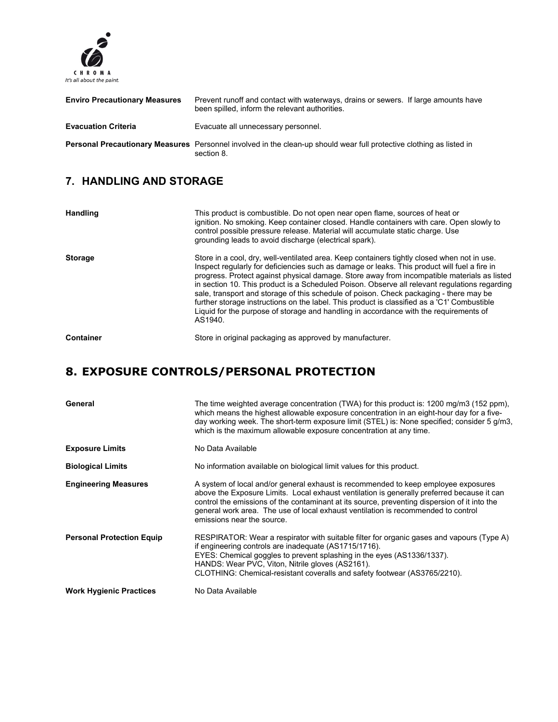

| <b>Enviro Precautionary Measures</b> | Prevent runoff and contact with waterways, drains or sewers. If large amounts have<br>been spilled, inform the relevant authorities.      |
|--------------------------------------|-------------------------------------------------------------------------------------------------------------------------------------------|
| <b>Evacuation Criteria</b>           | Evacuate all unnecessary personnel.                                                                                                       |
|                                      | <b>Personal Precautionary Measures</b> Personnel involved in the clean-up should wear full protective clothing as listed in<br>section 8. |

# **7. HANDLING AND STORAGE**

| <b>Handling</b>  | This product is combustible. Do not open near open flame, sources of heat or<br>ignition. No smoking. Keep container closed. Handle containers with care. Open slowly to<br>control possible pressure release. Material will accumulate static charge. Use<br>grounding leads to avoid discharge (electrical spark).                                                                                                                                                                                                                                                                                                                                                                     |
|------------------|------------------------------------------------------------------------------------------------------------------------------------------------------------------------------------------------------------------------------------------------------------------------------------------------------------------------------------------------------------------------------------------------------------------------------------------------------------------------------------------------------------------------------------------------------------------------------------------------------------------------------------------------------------------------------------------|
| <b>Storage</b>   | Store in a cool, dry, well-ventilated area. Keep containers tightly closed when not in use.<br>Inspect regularly for deficiencies such as damage or leaks. This product will fuel a fire in<br>progress. Protect against physical damage. Store away from incompatible materials as listed<br>in section 10. This product is a Scheduled Poison. Observe all relevant regulations regarding<br>sale, transport and storage of this schedule of poison. Check packaging - there may be<br>further storage instructions on the label. This product is classified as a 'C1' Combustible<br>Liquid for the purpose of storage and handling in accordance with the requirements of<br>AS1940. |
| <b>Container</b> | Store in original packaging as approved by manufacturer.                                                                                                                                                                                                                                                                                                                                                                                                                                                                                                                                                                                                                                 |

## **8. EXPOSURE CONTROLS/PERSONAL PROTECTION**

| General                          | The time weighted average concentration (TWA) for this product is: 1200 mg/m3 (152 ppm),<br>which means the highest allowable exposure concentration in an eight-hour day for a five-<br>day working week. The short-term exposure limit (STEL) is: None specified; consider 5 g/m3,<br>which is the maximum allowable exposure concentration at any time.                                          |
|----------------------------------|-----------------------------------------------------------------------------------------------------------------------------------------------------------------------------------------------------------------------------------------------------------------------------------------------------------------------------------------------------------------------------------------------------|
| <b>Exposure Limits</b>           | No Data Available                                                                                                                                                                                                                                                                                                                                                                                   |
| <b>Biological Limits</b>         | No information available on biological limit values for this product.                                                                                                                                                                                                                                                                                                                               |
| <b>Engineering Measures</b>      | A system of local and/or general exhaust is recommended to keep employee exposures<br>above the Exposure Limits. Local exhaust ventilation is generally preferred because it can<br>control the emissions of the contaminant at its source, preventing dispersion of it into the<br>general work area. The use of local exhaust ventilation is recommended to control<br>emissions near the source. |
| <b>Personal Protection Equip</b> | RESPIRATOR: Wear a respirator with suitable filter for organic gases and vapours (Type A)<br>if engineering controls are inadequate (AS1715/1716).<br>EYES: Chemical goggles to prevent splashing in the eyes (AS1336/1337).<br>HANDS: Wear PVC, Viton, Nitrile gloves (AS2161).<br>CLOTHING: Chemical-resistant coveralls and safety footwear (AS3765/2210).                                       |
| <b>Work Hygienic Practices</b>   | No Data Available                                                                                                                                                                                                                                                                                                                                                                                   |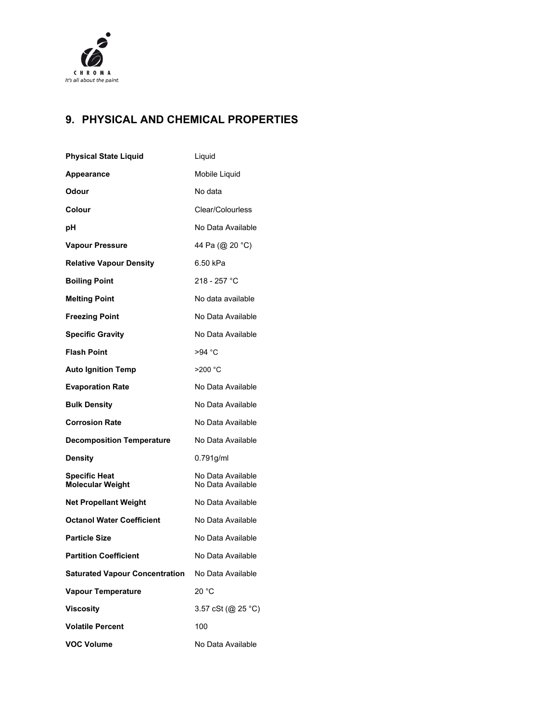

## **9. PHYSICAL AND CHEMICAL PROPERTIES**

| <b>Physical State Liquid</b>                    | Liquid                                 |
|-------------------------------------------------|----------------------------------------|
| Appearance                                      | Mobile Liquid                          |
| Odour                                           | No data                                |
| Colour                                          | Clear/Colourless                       |
| рH                                              | No Data Available                      |
| <b>Vapour Pressure</b>                          | 44 Pa (@ 20 °C)                        |
| <b>Relative Vapour Density</b>                  | 6.50 kPa                               |
| <b>Boiling Point</b>                            | 218 - 257 °C                           |
| <b>Melting Point</b>                            | No data available                      |
| <b>Freezing Point</b>                           | No Data Available                      |
| <b>Specific Gravity</b>                         | No Data Available                      |
| <b>Flash Point</b>                              | >94 °C                                 |
| <b>Auto Ignition Temp</b>                       | $>200$ °C                              |
| <b>Evaporation Rate</b>                         | No Data Available                      |
| <b>Bulk Density</b>                             | No Data Available                      |
| <b>Corrosion Rate</b>                           | No Data Available                      |
| <b>Decomposition Temperature</b>                | No Data Available                      |
| <b>Density</b>                                  | $0.791$ g/ml                           |
| <b>Specific Heat</b><br><b>Molecular Weight</b> | No Data Available<br>No Data Available |
| <b>Net Propellant Weight</b>                    | No Data Available                      |
| <b>Octanol Water Coefficient</b>                | No Data Available                      |
| <b>Particle Size</b>                            | No Data Available                      |
| <b>Partition Coefficient</b>                    | No Data Available                      |
| <b>Saturated Vapour Concentration</b>           | No Data Available                      |
| <b>Vapour Temperature</b>                       | 20 °C                                  |
| <b>Viscosity</b>                                | 3.57 cSt (@ 25 °C)                     |
| <b>Volatile Percent</b>                         | 100                                    |
| <b>VOC Volume</b>                               | No Data Available                      |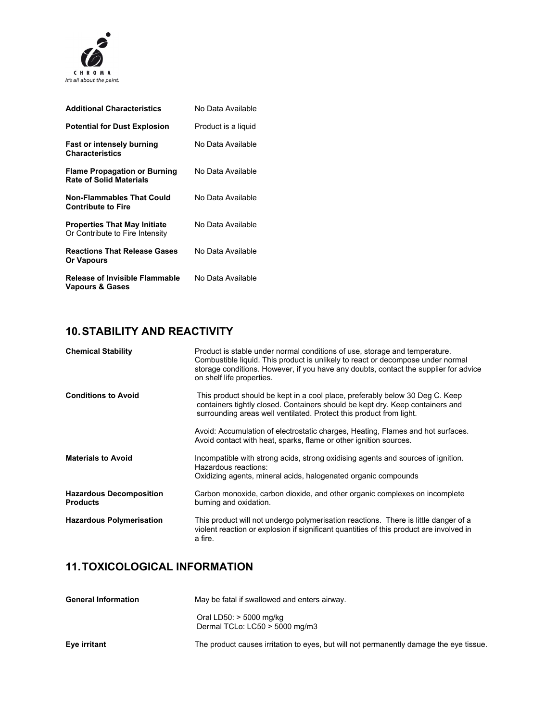

| <b>Additional Characteristics</b>                                      | No Data Available   |
|------------------------------------------------------------------------|---------------------|
| <b>Potential for Dust Explosion</b>                                    | Product is a liguid |
| <b>Fast or intensely burning</b><br><b>Characteristics</b>             | No Data Available   |
| <b>Flame Propagation or Burning</b><br><b>Rate of Solid Materials</b>  | No Data Available   |
| <b>Non-Flammables That Could</b><br><b>Contribute to Fire</b>          | No Data Available   |
| <b>Properties That May Initiate</b><br>Or Contribute to Fire Intensity | No Data Available   |
| <b>Reactions That Release Gases</b><br><b>Or Vapours</b>               | No Data Available   |
| Release of Invisible Flammable<br><b>Vapours &amp; Gases</b>           | No Data Available   |

#### **10. STABILITY AND REACTIVITY**

| <b>Chemical Stability</b>                         | Product is stable under normal conditions of use, storage and temperature.<br>Combustible liquid. This product is unlikely to react or decompose under normal<br>storage conditions. However, if you have any doubts, contact the supplier for advice<br>on shelf life properties. |
|---------------------------------------------------|------------------------------------------------------------------------------------------------------------------------------------------------------------------------------------------------------------------------------------------------------------------------------------|
| <b>Conditions to Avoid</b>                        | This product should be kept in a cool place, preferably below 30 Deg C. Keep<br>containers tightly closed. Containers should be kept dry. Keep containers and<br>surrounding areas well ventilated. Protect this product from light.                                               |
|                                                   | Avoid: Accumulation of electrostatic charges, Heating, Flames and hot surfaces.<br>Avoid contact with heat, sparks, flame or other ignition sources.                                                                                                                               |
| <b>Materials to Avoid</b>                         | Incompatible with strong acids, strong oxidising agents and sources of ignition.<br>Hazardous reactions:<br>Oxidizing agents, mineral acids, halogenated organic compounds                                                                                                         |
| <b>Hazardous Decomposition</b><br><b>Products</b> | Carbon monoxide, carbon dioxide, and other organic complexes on incomplete<br>burning and oxidation.                                                                                                                                                                               |
| <b>Hazardous Polymerisation</b>                   | This product will not undergo polymerisation reactions. There is little danger of a<br>violent reaction or explosion if significant quantities of this product are involved in<br>a fire.                                                                                          |

#### **11. TOXICOLOGICAL INFORMATION**

| <b>General Information</b> | May be fatal if swallowed and enters airway.                                           |
|----------------------------|----------------------------------------------------------------------------------------|
|                            | Oral LD50: $>$ 5000 mg/kg<br>Dermal TCLo: LC50 > 5000 mg/m3                            |
| Eye irritant               | The product causes irritation to eyes, but will not permanently damage the eye tissue. |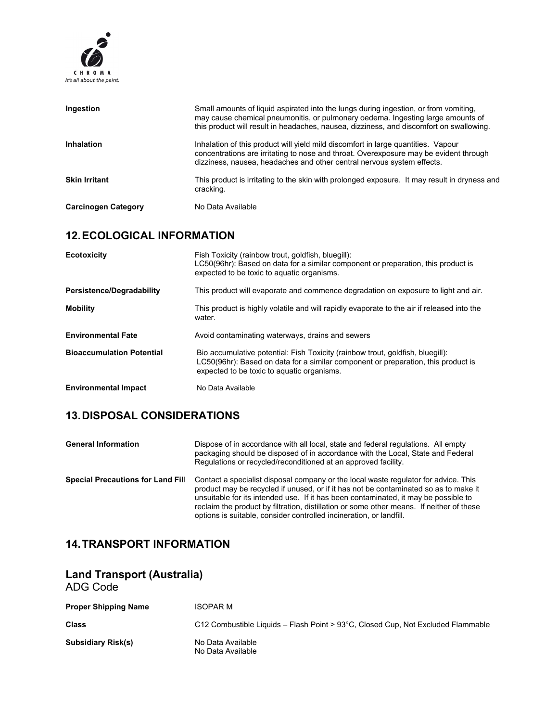

| Ingestion                  | Small amounts of liquid aspirated into the lungs during ingestion, or from vomiting,<br>may cause chemical pneumonitis, or pulmonary oedema. Ingesting large amounts of<br>this product will result in headaches, nausea, dizziness, and discomfort on swallowing. |
|----------------------------|--------------------------------------------------------------------------------------------------------------------------------------------------------------------------------------------------------------------------------------------------------------------|
| Inhalation                 | Inhalation of this product will yield mild discomfort in large quantities. Vapour<br>concentrations are irritating to nose and throat. Overexposure may be evident through<br>dizziness, nausea, headaches and other central nervous system effects.               |
| <b>Skin Irritant</b>       | This product is irritating to the skin with prolonged exposure. It may result in dryness and<br>cracking.                                                                                                                                                          |
| <b>Carcinogen Category</b> | No Data Available                                                                                                                                                                                                                                                  |

## **12. ECOLOGICAL INFORMATION**

| <b>Ecotoxicity</b>               | Fish Toxicity (rainbow trout, goldfish, bluegill):<br>LC50(96hr): Based on data for a similar component or preparation, this product is<br>expected to be toxic to aquatic organisms.                             |
|----------------------------------|-------------------------------------------------------------------------------------------------------------------------------------------------------------------------------------------------------------------|
| <b>Persistence/Degradability</b> | This product will evaporate and commence degradation on exposure to light and air.                                                                                                                                |
| <b>Mobility</b>                  | This product is highly volatile and will rapidly evaporate to the air if released into the<br>water.                                                                                                              |
| <b>Environmental Fate</b>        | Avoid contaminating waterways, drains and sewers                                                                                                                                                                  |
| <b>Bioaccumulation Potential</b> | Bio accumulative potential: Fish Toxicity (rainbow trout, goldfish, bluegill):<br>LC50(96hr): Based on data for a similar component or preparation, this product is<br>expected to be toxic to aquatic organisms. |
| <b>Environmental Impact</b>      | No Data Available                                                                                                                                                                                                 |

#### **13. DISPOSAL CONSIDERATIONS**

| <b>General Information</b>               | Dispose of in accordance with all local, state and federal regulations. All empty<br>packaging should be disposed of in accordance with the Local, State and Federal<br>Regulations or recycled/reconditioned at an approved facility.                                                                                                                                                                                                |
|------------------------------------------|---------------------------------------------------------------------------------------------------------------------------------------------------------------------------------------------------------------------------------------------------------------------------------------------------------------------------------------------------------------------------------------------------------------------------------------|
| <b>Special Precautions for Land Fill</b> | Contact a specialist disposal company or the local waste regulator for advice. This<br>product may be recycled if unused, or if it has not be contaminated so as to make it<br>unsuitable for its intended use. If it has been contaminated, it may be possible to<br>reclaim the product by filtration, distillation or some other means. If neither of these<br>options is suitable, consider controlled incineration, or landfill. |

# **14. TRANSPORT INFORMATION**

| <b>Land Transport (Australia)</b><br>ADG Code |                                                                                  |
|-----------------------------------------------|----------------------------------------------------------------------------------|
| <b>Proper Shipping Name</b>                   | <b>ISOPAR M</b>                                                                  |
| <b>Class</b>                                  | C12 Combustible Liquids – Flash Point > 93°C, Closed Cup, Not Excluded Flammable |
| <b>Subsidiary Risk(s)</b>                     | No Data Available<br>No Data Available                                           |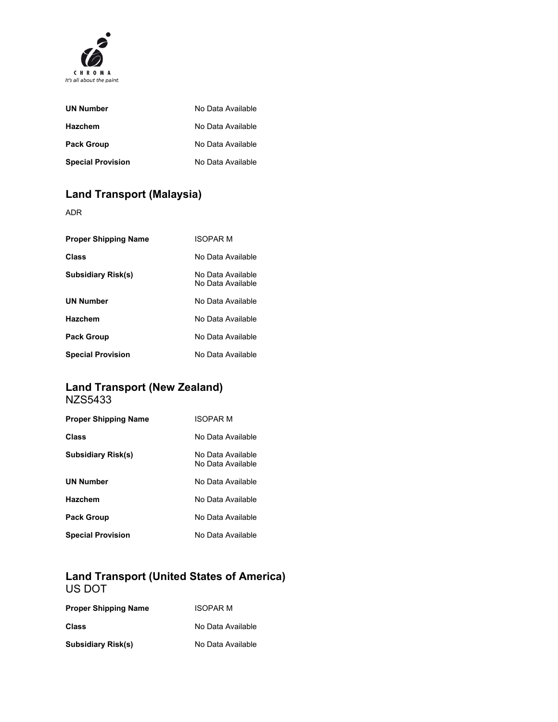

| <b>UN Number</b>         | No Data Available |
|--------------------------|-------------------|
| <b>Hazchem</b>           | No Data Available |
| <b>Pack Group</b>        | No Data Available |
| <b>Special Provision</b> | No Data Available |

# **Land Transport (Malaysia)**

ADR

| <b>Proper Shipping Name</b> | <b>ISOPAR M</b>                        |
|-----------------------------|----------------------------------------|
| Class                       | No Data Available                      |
| <b>Subsidiary Risk(s)</b>   | No Data Available<br>No Data Available |
| <b>UN Number</b>            | No Data Available                      |
| <b>Hazchem</b>              | No Data Available                      |
| <b>Pack Group</b>           | No Data Available                      |
| <b>Special Provision</b>    | No Data Available                      |

#### **Land Transport (New Zealand)**  NZS5433

| <b>Proper Shipping Name</b> | ISOPAR M                               |
|-----------------------------|----------------------------------------|
| Class                       | No Data Available                      |
| <b>Subsidiary Risk(s)</b>   | No Data Available<br>No Data Available |
| <b>UN Number</b>            | No Data Available                      |
| Hazchem                     | No Data Available                      |
| <b>Pack Group</b>           | No Data Available                      |
| <b>Special Provision</b>    | No Data Available                      |

#### **Land Transport (United States of America)**  US DOT

| <b>Proper Shipping Name</b> | <b>ISOPAR M</b>   |
|-----------------------------|-------------------|
| <b>Class</b>                | No Data Available |
| <b>Subsidiary Risk(s)</b>   | No Data Available |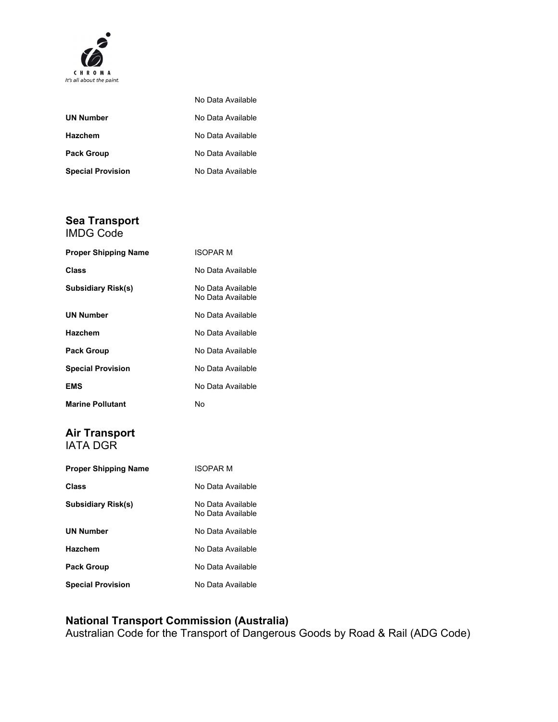

|                          | No Data Available |
|--------------------------|-------------------|
| <b>UN Number</b>         | No Data Available |
| <b>Hazchem</b>           | No Data Available |
| <b>Pack Group</b>        | No Data Available |
| <b>Special Provision</b> | No Data Available |

#### **Sea Transport**

| <b>IMDG Code</b>            |                                        |
|-----------------------------|----------------------------------------|
| <b>Proper Shipping Name</b> | <b>ISOPAR M</b>                        |
| Class                       | No Data Available                      |
| <b>Subsidiary Risk(s)</b>   | No Data Available<br>No Data Available |
| <b>UN Number</b>            | No Data Available                      |
| <b>Hazchem</b>              | No Data Available                      |
| <b>Pack Group</b>           | No Data Available                      |
| <b>Special Provision</b>    | No Data Available                      |
| <b>EMS</b>                  | No Data Available                      |
| <b>Marine Pollutant</b>     | No                                     |

#### **Air Transport**  IATA DGR

| <b>Proper Shipping Name</b> | <b>ISOPAR M</b>                        |
|-----------------------------|----------------------------------------|
| Class                       | No Data Available                      |
| Subsidiary Risk(s)          | No Data Available<br>No Data Available |
| <b>UN Number</b>            | No Data Available                      |
| <b>Hazchem</b>              | No Data Available                      |
| <b>Pack Group</b>           | No Data Available                      |
| <b>Special Provision</b>    | No Data Available                      |

#### **National Transport Commission (Australia)**

Australian Code for the Transport of Dangerous Goods by Road & Rail (ADG Code)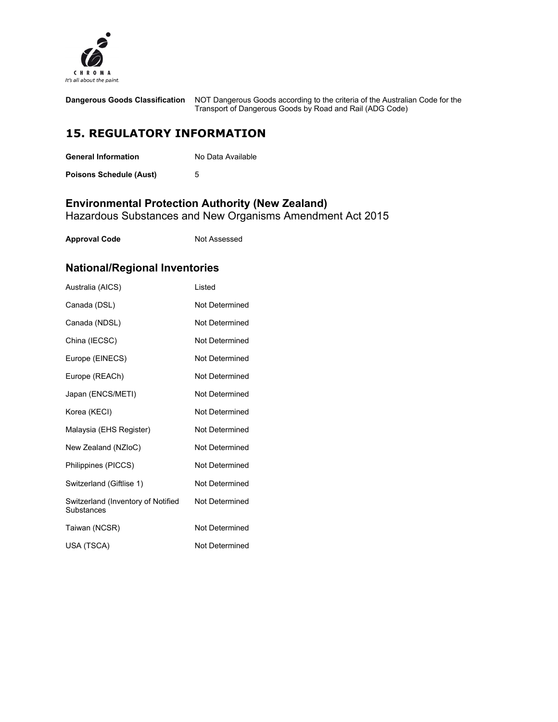

| <b>Dangerous Goods Classification</b> | NOT Dangerous Goods according to the criteria of the Australian Code for the<br>Transport of Dangerous Goods by Road and Rail (ADG Code) |
|---------------------------------------|------------------------------------------------------------------------------------------------------------------------------------------|
| <b>15. REGULATORY INFORMATION</b>     |                                                                                                                                          |

| <b>General Information</b>     | No Data Available |
|--------------------------------|-------------------|
| <b>Poisons Schedule (Aust)</b> |                   |

#### **Environmental Protection Authority (New Zealand)**

Hazardous Substances and New Organisms Amendment Act 2015

| Not Assessed |
|--------------|
|              |

# **National/Regional Inventories**

| Australia (AICS)                                 | Listed                |
|--------------------------------------------------|-----------------------|
| Canada (DSL)                                     | <b>Not Determined</b> |
| Canada (NDSL)                                    | Not Determined        |
| China (IECSC)                                    | Not Determined        |
| Europe (EINECS)                                  | Not Determined        |
| Europe (REACh)                                   | Not Determined        |
| Japan (ENCS/METI)                                | Not Determined        |
| Korea (KECI)                                     | Not Determined        |
| Malaysia (EHS Register)                          | Not Determined        |
| New Zealand (NZloC)                              | Not Determined        |
| Philippines (PICCS)                              | Not Determined        |
| Switzerland (Giftlise 1)                         | Not Determined        |
| Switzerland (Inventory of Notified<br>Substances | Not Determined        |
| Taiwan (NCSR)                                    | Not Determined        |
| USA (TSCA)                                       | Not Determined        |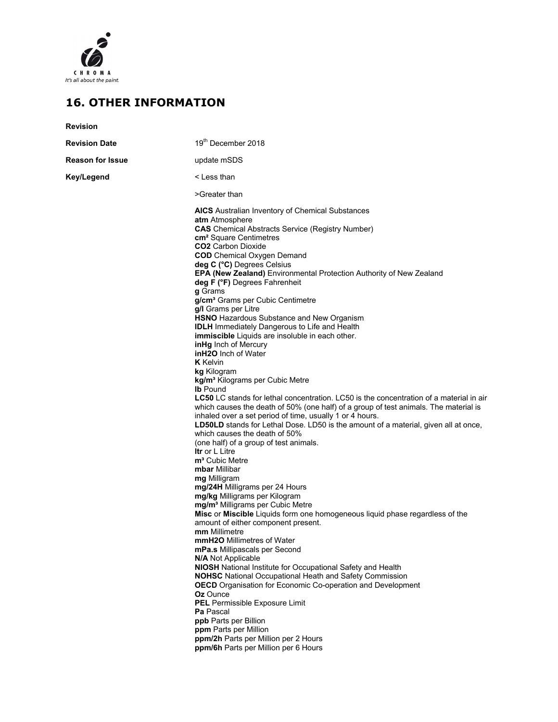

### **16. OTHER INFORMATION**

| <b>Revision</b>         |                                                                                                                                                                                                                                                                                                                                                                                                                                                                                                                                                                                                                                                                                                                                                                                                                                                                                                                                                                                                                                                                                                                                                                                                                                                                                                                                                                                                                                                                                                                                                                                                                                                                                                                                                                                                                                                                                                                                                                                                                                                                                                                          |
|-------------------------|--------------------------------------------------------------------------------------------------------------------------------------------------------------------------------------------------------------------------------------------------------------------------------------------------------------------------------------------------------------------------------------------------------------------------------------------------------------------------------------------------------------------------------------------------------------------------------------------------------------------------------------------------------------------------------------------------------------------------------------------------------------------------------------------------------------------------------------------------------------------------------------------------------------------------------------------------------------------------------------------------------------------------------------------------------------------------------------------------------------------------------------------------------------------------------------------------------------------------------------------------------------------------------------------------------------------------------------------------------------------------------------------------------------------------------------------------------------------------------------------------------------------------------------------------------------------------------------------------------------------------------------------------------------------------------------------------------------------------------------------------------------------------------------------------------------------------------------------------------------------------------------------------------------------------------------------------------------------------------------------------------------------------------------------------------------------------------------------------------------------------|
| <b>Revision Date</b>    | 19th December 2018                                                                                                                                                                                                                                                                                                                                                                                                                                                                                                                                                                                                                                                                                                                                                                                                                                                                                                                                                                                                                                                                                                                                                                                                                                                                                                                                                                                                                                                                                                                                                                                                                                                                                                                                                                                                                                                                                                                                                                                                                                                                                                       |
| <b>Reason for Issue</b> | update mSDS                                                                                                                                                                                                                                                                                                                                                                                                                                                                                                                                                                                                                                                                                                                                                                                                                                                                                                                                                                                                                                                                                                                                                                                                                                                                                                                                                                                                                                                                                                                                                                                                                                                                                                                                                                                                                                                                                                                                                                                                                                                                                                              |
| Key/Legend              | < Less than                                                                                                                                                                                                                                                                                                                                                                                                                                                                                                                                                                                                                                                                                                                                                                                                                                                                                                                                                                                                                                                                                                                                                                                                                                                                                                                                                                                                                                                                                                                                                                                                                                                                                                                                                                                                                                                                                                                                                                                                                                                                                                              |
|                         | >Greater than                                                                                                                                                                                                                                                                                                                                                                                                                                                                                                                                                                                                                                                                                                                                                                                                                                                                                                                                                                                                                                                                                                                                                                                                                                                                                                                                                                                                                                                                                                                                                                                                                                                                                                                                                                                                                                                                                                                                                                                                                                                                                                            |
|                         | <b>AICS</b> Australian Inventory of Chemical Substances<br>atm Atmosphere<br><b>CAS</b> Chemical Abstracts Service (Registry Number)<br><b>cm<sup>2</sup></b> Square Centimetres<br><b>CO2</b> Carbon Dioxide<br><b>COD</b> Chemical Oxygen Demand<br>deg C (°C) Degrees Celsius<br>EPA (New Zealand) Environmental Protection Authority of New Zealand<br>deg F (°F) Degrees Fahrenheit<br>g Grams<br>g/cm <sup>3</sup> Grams per Cubic Centimetre<br>g/I Grams per Litre<br><b>HSNO</b> Hazardous Substance and New Organism<br><b>IDLH</b> Immediately Dangerous to Life and Health<br><b>immiscible</b> Liquids are insoluble in each other.<br>inHg Inch of Mercury<br><b>inH2O</b> Inch of Water<br><b>K</b> Kelvin<br>kg Kilogram<br>kg/m <sup>3</sup> Kilograms per Cubic Metre<br><b>Ib</b> Pound<br><b>LC50</b> LC stands for lethal concentration. LC50 is the concentration of a material in air<br>which causes the death of 50% (one half) of a group of test animals. The material is<br>inhaled over a set period of time, usually 1 or 4 hours.<br><b>LD50LD</b> stands for Lethal Dose. LD50 is the amount of a material, given all at once,<br>which causes the death of 50%<br>(one half) of a group of test animals.<br><b>Itr</b> or L Litre<br>m <sup>3</sup> Cubic Metre<br>mbar Millibar<br>mg Milligram<br>mg/24H Milligrams per 24 Hours<br>mg/kg Milligrams per Kilogram<br>mg/m <sup>3</sup> Milligrams per Cubic Metre<br>Misc or Miscible Liquids form one homogeneous liquid phase regardless of the<br>amount of either component present.<br>mm Millimetre<br><b>mmH2O</b> Millimetres of Water<br>mPa.s Millipascals per Second<br><b>N/A Not Applicable</b><br><b>NIOSH</b> National Institute for Occupational Safety and Health<br><b>NOHSC</b> National Occupational Heath and Safety Commission<br><b>OECD</b> Organisation for Economic Co-operation and Development<br><b>Oz</b> Ounce<br>PEL Permissible Exposure Limit<br><b>Pa</b> Pascal<br>ppb Parts per Billion<br>ppm Parts per Million<br>ppm/2h Parts per Million per 2 Hours<br>ppm/6h Parts per Million per 6 Hours |